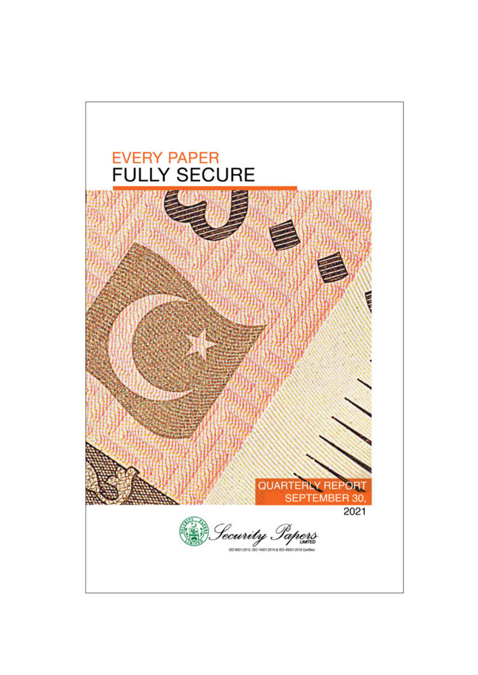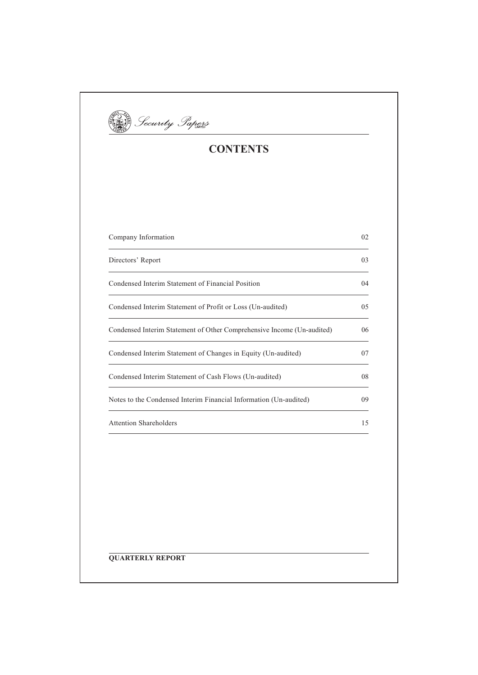|  | <sup>f</sup> ecurity | apers |
|--|----------------------|-------|
|--|----------------------|-------|

# **CONTENTS**

| Company Information                                                    | 02. |
|------------------------------------------------------------------------|-----|
| Directors' Report                                                      | 03  |
| Condensed Interim Statement of Financial Position                      | 04  |
| Condensed Interim Statement of Profit or Loss (Un-audited)             | 05  |
| Condensed Interim Statement of Other Comprehensive Income (Un-audited) | 06  |
| Condensed Interim Statement of Changes in Equity (Un-audited)          | 07  |
| Condensed Interim Statement of Cash Flows (Un-audited)                 | 08  |
| Notes to the Condensed Interim Financial Information (Un-audited)      | 09  |
| <b>Attention Shareholders</b>                                          | 15  |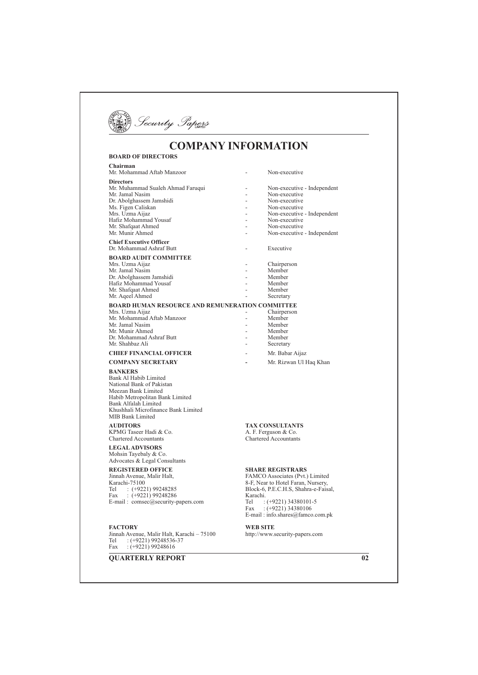

# **COMPANY INFORMATION**

#### **BOARD OF DIRECTORS** Chairman Mr. Mohammad Aftab Manzoor Non-executive  $\overline{a}$ **Directors** Mr. Muhammad Sualeh Ahmad Faruqui Non-executive - Independent  $\overline{a}$ Mr. Jamal Nasim Non-executive Dr. Abolghassem Jamshidi Non-executive Ms. Figen Caliskan Non-executive Mrs. Uzma Aijaz Non-executive - Independent Hafiz Mohammad Yousaf Non-executive Mr. Shafqaat Ahmed Non-executive Non-executive - Independent Mr. Munir Ahmed  $\overline{a}$ **Chief Executive Officer** Dr. Mohammad Ashraf Butt  $\overline{a}$ Executive **BOARD AUDIT COMMITTEE** Mrs. Uzma Aijaz Chairperson Mr Jamal Nasim Member Dr. Abolghassem Jamshidi Member Hafiz Mohammad Yousaf Member Member Mr. Shafqaat Ahmed Mr. Aqeel Ahmed Secretary BOARD HUMAN RESOURCE AND REMUNERATION COMMITTEE Mrs. Uzma Aijaz<br>Mr. Mohammad Aftab Manzoor Chairperson  $\sim$ Member Mr. Jamal Nasim Member  $\overline{a}$ Mr. Munir Ahmed Member Dr. Mohammad Ashraf Butt Member Mr. Shahbaz Ali Secretary **CHIEF FINANCIAL OFFICER** Mr. Babar Aijaz  $\overline{a}$ **COMPANY SECRETARY**  $\overline{a}$ Mr. Rizwan Ul Haq Khan **BANKERS** Bank Al Habib Limited National Bank of Pakistan Meezan Bank Limited Habib Metropolitan Bank Limited Bank Alfalah Limited Khushhali Microfinance Bank Limited MIB Bank Limited **AUDITORS** TAX CONSULTANTS KPMG Taseer Hadi & Co. A. F. Ferguson & Co. Chartered Accountants Chartered Accountants **LEGAL ADVISORS** Mohsin Tayebaly & Co. Advocates & Legal Consultants **REGISTERED OFFICE SHARE REGISTRARS** FAMCO Associates (Pvt.) Limited<br>8-F, Near to Hotel Faran, Nursery,<br>Block-6, P.E.C.H.S, Shahra-e-Faisal, Jinnah Avenue, Malir Halt, Karachi-75100 Tel :  $(+9221) 99248285$  $(+9221)$  99248286 Karachi. Fax Tel : (+9221) 34380101-5<br>Fax : (+9221) 34380106 E-mail:  $\text{comes}(a)$  security-papers.com E-mail: info.shares@famco.com.pk **FACTORY WEB SITE**

Jinnah Avenue, Malir Halt, Karachi - 75100 Jnn.<br>Tel  $:(+9221) 99248536-37$ Fax  $:(+9221)$  99248616

**OUARTERLY REPORT** 

 $\overline{02}$ 

http://www.security-papers.com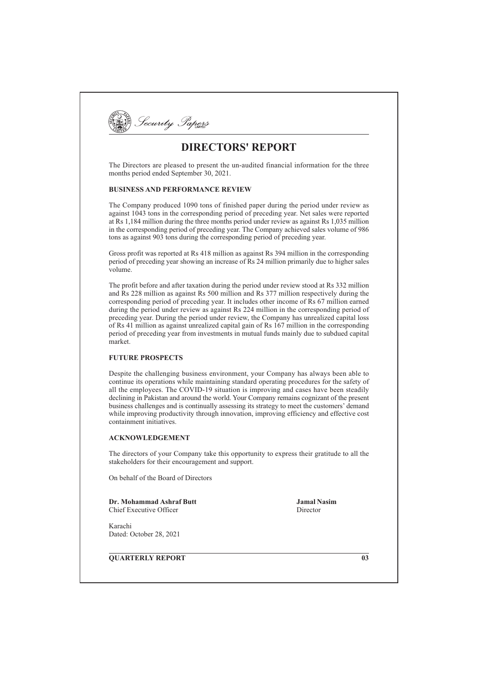

# **DIRECTORS' REPORT**

The Directors are pleased to present the un-audited financial information for the three months period ended September 30, 2021.

## **BUSINESS AND PERFORMANCE REVIEW**

The Company produced 1090 tons of finished paper during the period under review as against 1043 tons in the corresponding period of preceding year. Net sales were reported at Rs 1,184 million during the three months period under review as against Rs 1,035 million in the corresponding period of preceding year. The Company achieved sales volume of 986 tons as against 903 tons during the corresponding period of preceding year.

Gross profit was reported at Rs 418 million as against Rs 394 million in the corresponding period of preceding year showing an increase of Rs 24 million primarily due to higher sales volume.

The profit before and after taxation during the period under review stood at Rs 332 million and Rs 228 million as against Rs 500 million and Rs 377 million respectively during the corresponding period of preceding year. It includes other income of Rs 67 million earned during the period under review as against Rs 224 million in the corresponding period of preceding year. During the period under review, the Company has unrealized capital loss of Rs 41 million as against unrealized capital gain of Rs 167 million in the corresponding period of preceding year from investments in mutual funds mainly due to subdued capital market.

### **FUTURE PROSPECTS**

Despite the challenging business environment, your Company has always been able to continue its operations while maintaining standard operating procedures for the safety of all the employees. The COVID-19 situation is improving and cases have been steadily declining in Pakistan and around the world. Your Company remains cognizant of the present business challenges and is continually assessing its strategy to meet the customers' demand while improving productivity through innovation, improving efficiency and effective cost containment initiatives.

## **ACKNOWLEDGEMENT**

The directors of your Company take this opportunity to express their gratitude to all the stakeholders for their encouragement and support.

On behalf of the Board of Directors

Dr. Mohammad Ashraf Butt Chief Executive Officer

**Jamal Nasim** Director

Karachi Dated: October 28, 2021

**OUARTERLY REPORT** 

 $\overline{03}$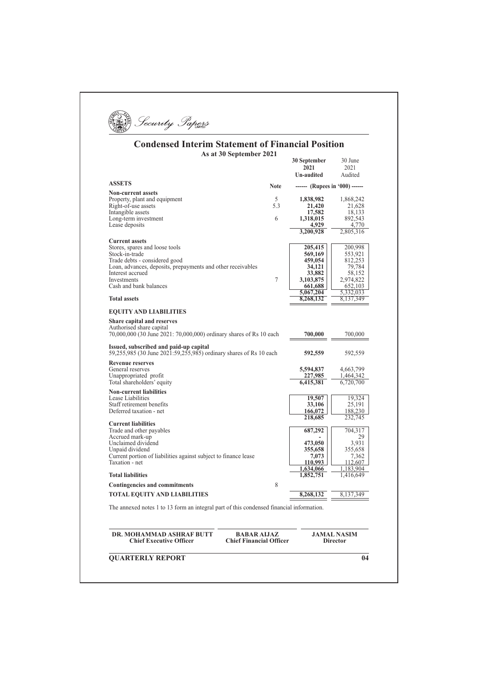(1) Security Papers

# **Condensed Interim Statement of Financial Position** As at 30 September 2021

|                                                                                                                    |             | 30 September<br>2021           | 30 June<br>2021                       |
|--------------------------------------------------------------------------------------------------------------------|-------------|--------------------------------|---------------------------------------|
| <b>ASSETS</b>                                                                                                      |             | <b>Un-audited</b>              | Audited                               |
| <b>Non-current assets</b>                                                                                          | <b>Note</b> | ------ (Rupees in '000) ------ |                                       |
| Property, plant and equipment                                                                                      | 5           | 1,838,982                      | 1,868,242                             |
| Right-of-use assets                                                                                                | 5.3         | 21,420                         | 21,628                                |
| Intangible assets                                                                                                  |             | 17,582                         | 18,133                                |
| Long-term investment                                                                                               | 6           | 1,318,015                      | 892,543                               |
| Lease deposits                                                                                                     |             | 4,929                          | 4,770                                 |
|                                                                                                                    |             | 3,200,928                      | 2,805,316                             |
| <b>Current assets</b>                                                                                              |             |                                |                                       |
| Stores, spares and loose tools                                                                                     |             | 205,415                        | 200,998                               |
| Stock-in-trade                                                                                                     |             | 569,169                        | 553,921                               |
| Trade debts - considered good                                                                                      |             | 459,054                        | 812,253                               |
| Loan, advances, deposits, prepayments and other receivables<br>Interest accrued                                    |             | 34,121                         | 79,784                                |
| Investments                                                                                                        | 7           | 33,882<br>3,103,875            | 58,152<br>2,974,822                   |
| Cash and bank balances                                                                                             |             | 661,688                        | 652,103                               |
|                                                                                                                    |             | 5,067,204                      | 5,332,033                             |
| <b>Total assets</b>                                                                                                |             | 8,268,132                      | 8, 137, 349                           |
|                                                                                                                    |             |                                |                                       |
| <b>EQUITY AND LIABILITIES</b>                                                                                      |             |                                |                                       |
| Share capital and reserves                                                                                         |             |                                |                                       |
| Authorised share capital                                                                                           |             |                                |                                       |
| 70,000,000 (30 June 2021: 70,000,000) ordinary shares of Rs 10 each                                                |             | 700,000                        | 700,000                               |
|                                                                                                                    |             |                                |                                       |
| Issued, subscribed and paid-up capital<br>59,255,985 (30 June 2021:59,255,985) ordinary shares of Rs 10 each       |             | 592,559                        | 592,559                               |
| <b>Revenue reserves</b>                                                                                            |             |                                |                                       |
| General reserves                                                                                                   |             | 5,594,837                      | 4,663,799                             |
| Unappropriated profit                                                                                              |             | 227,985                        | 1,464,342                             |
| Total shareholders' equity                                                                                         |             | 6,415,381                      | 6,720,700                             |
| <b>Non-current liabilities</b>                                                                                     |             |                                |                                       |
| Lease Liabilities                                                                                                  |             | 19,507                         | 19,324                                |
| Staff retirement benefits                                                                                          |             | 33,106                         | 25,191                                |
| Deferred taxation - net                                                                                            |             | 166,072                        | 188,230                               |
|                                                                                                                    |             | 218,685                        | 232,745                               |
| <b>Current liabilities</b><br>Trade and other payables                                                             |             | 687,292                        | 704,317                               |
| Accrued mark-up                                                                                                    |             |                                | 29                                    |
| Unclaimed dividend                                                                                                 |             | 473,050                        | 3,931                                 |
| Unpaid dividend                                                                                                    |             | 355,658                        | 355,658                               |
| Current portion of liabilities against subject to finance lease                                                    |             | 7,073                          | 7,362                                 |
| Taxation - net                                                                                                     |             | 110,993                        | 112,607                               |
|                                                                                                                    |             | 1,634,066                      | 1,183,904                             |
| <b>Total liabilities</b>                                                                                           |             | 1,852,751                      | 1,416,649                             |
| Contingencies and commitments                                                                                      | 8           |                                |                                       |
| <b>TOTAL EQUITY AND LIABILITIES</b>                                                                                |             | 8,268,132                      | 8,137,349                             |
| The annexed notes 1 to 13 form an integral part of this condensed financial information.                           |             |                                |                                       |
|                                                                                                                    |             |                                |                                       |
| DR. MOHAMMAD ASHRAF BUTT<br><b>BABAR AIJAZ</b><br><b>Chief Executive Officer</b><br><b>Chief Financial Officer</b> |             |                                | <b>JAMAL NASIM</b><br><b>Director</b> |

**QUARTERLY REPORT** 

 $\overline{04}$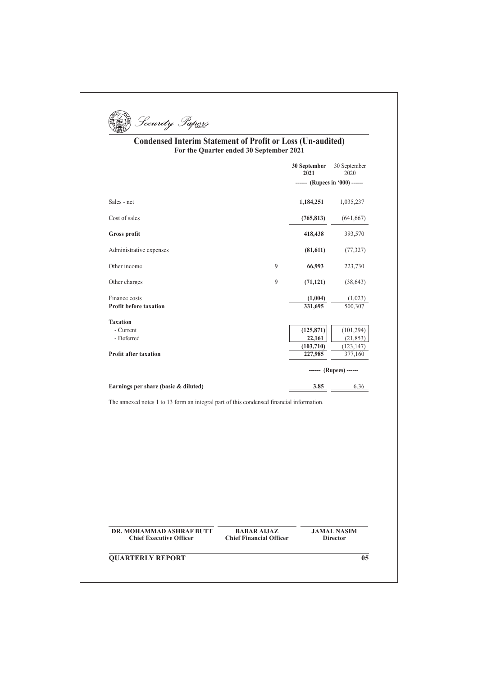| curity<br>$\mathscr{H}$ |
|-------------------------|
|-------------------------|

# **Condensed Interim Statement of Profit or Loss (Un-audited) For the Quarter ended 30 September 2021**

|                                                                                          |                                                      | 30 September<br>2021           | 30 September<br>2020                  |
|------------------------------------------------------------------------------------------|------------------------------------------------------|--------------------------------|---------------------------------------|
|                                                                                          |                                                      | ------ (Rupees in '000) ------ |                                       |
| Sales - net                                                                              |                                                      | 1,184,251                      | 1,035,237                             |
| Cost of sales                                                                            |                                                      | (765, 813)                     | (641, 667)                            |
| Gross profit                                                                             |                                                      | 418,438                        | 393,570                               |
| Administrative expenses                                                                  |                                                      | (81,611)                       | (77, 327)                             |
| Other income                                                                             | 9                                                    | 66,993                         | 223,730                               |
| Other charges                                                                            | 9                                                    | (71, 121)                      | (38, 643)                             |
| Finance costs                                                                            |                                                      |                                | (1,023)                               |
| <b>Profit before taxation</b>                                                            |                                                      | (1,004)<br>331,695             | 500,307                               |
|                                                                                          |                                                      |                                |                                       |
| <b>Taxation</b>                                                                          |                                                      |                                |                                       |
| - Current                                                                                |                                                      | (125, 871)                     | (101, 294)                            |
| - Deferred                                                                               |                                                      | 22,161                         | (21, 853)                             |
|                                                                                          |                                                      | (103, 710)                     | (123, 147)                            |
| <b>Profit after taxation</b>                                                             |                                                      | 227,985                        | 377,160                               |
|                                                                                          |                                                      |                                | ------ (Rupees) ------                |
| Earnings per share (basic & diluted)                                                     |                                                      | 3.85                           | 6.36                                  |
| The annexed notes 1 to 13 form an integral part of this condensed financial information. |                                                      |                                |                                       |
| DR. MOHAMMAD ASHRAF BUTT<br><b>Chief Executive Officer</b>                               | <b>BABAR AIJAZ</b><br><b>Chief Financial Officer</b> |                                | <b>JAMAL NASIM</b><br><b>Director</b> |

**QUARTERLY REPORT** 

 $\overline{\overline{\hspace{1ex}}\hspace{1ex}}\hspace{1ex}$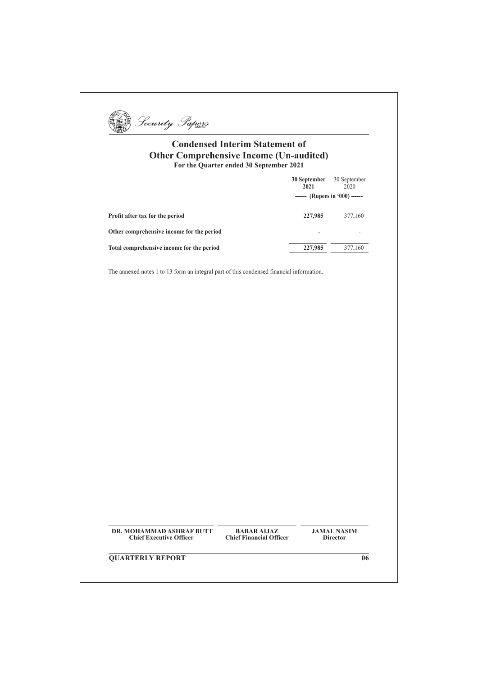|                                           | <b>Condensed Interim Statement of</b><br><b>Other Comprehensive Income (Un-audited)</b><br>For the Quarter ended 30 September 2021 |                      |                                                        |
|-------------------------------------------|------------------------------------------------------------------------------------------------------------------------------------|----------------------|--------------------------------------------------------|
|                                           |                                                                                                                                    | 30 September<br>2021 | 30 September<br>2020<br>------ (Rupees in '000) ------ |
| Profit after tax for the period           |                                                                                                                                    | 227,985              | 377,160                                                |
| Other comprehensive income for the period |                                                                                                                                    |                      |                                                        |
| Total comprehensive income for the period |                                                                                                                                    | 227,985              | 377,160                                                |
|                                           |                                                                                                                                    |                      |                                                        |
|                                           |                                                                                                                                    |                      |                                                        |
|                                           |                                                                                                                                    |                      |                                                        |
|                                           |                                                                                                                                    |                      |                                                        |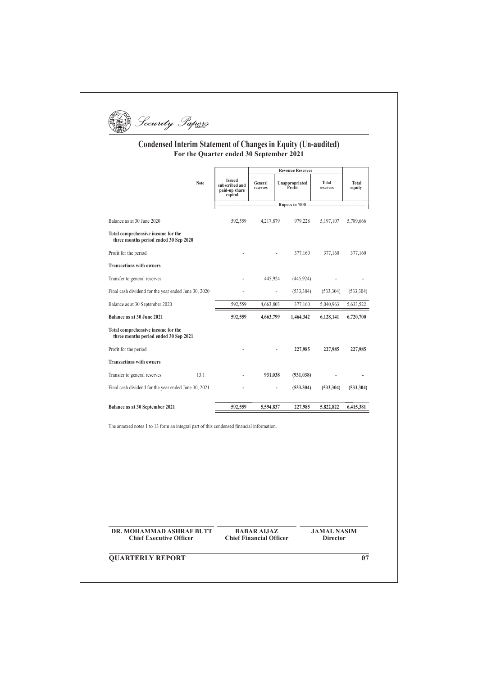

# Condensed Interim Statement of Changes in Equity (Un-audited)<br>For the Quarter ended 30 September 2021

|                                                                             |                                                             |                     | <b>Revenue Reserves</b>                       |                   |                        |  |
|-----------------------------------------------------------------------------|-------------------------------------------------------------|---------------------|-----------------------------------------------|-------------------|------------------------|--|
| Note                                                                        | <b>Issued</b><br>subscribed and<br>paid-up share<br>capital | General<br>reserves | Unappropriated<br>Profit                      | Total<br>reserves | <b>Total</b><br>equity |  |
|                                                                             |                                                             |                     | ----- Rupees in '000 ------------------------ |                   |                        |  |
| Balance as at 30 June 2020                                                  | 592,559                                                     | 4,217,879           | 979,228                                       | 5,197,107         | 5,789,666              |  |
| Total comprehensive income for the<br>three months period ended 30 Sep 2020 |                                                             |                     |                                               |                   |                        |  |
| Profit for the period                                                       |                                                             |                     | 377,160                                       | 377,160           | 377,160                |  |
| <b>Transactions with owners</b>                                             |                                                             |                     |                                               |                   |                        |  |
| Transfer to general reserves                                                |                                                             | 445,924             | (445, 924)                                    |                   |                        |  |
| Final cash dividend for the year ended June 30, 2020                        |                                                             |                     | (533, 304)                                    | (533, 304)        | (533, 304)             |  |
| Balance as at 30 September 2020                                             | 592,559                                                     | 4,663,803           | 377,160                                       | 5,040,963         | 5,633,522              |  |
| Balance as at 30 June 2021                                                  | 592,559                                                     | 4,663,799           | 1,464,342                                     | 6,128,141         | 6,720,700              |  |
| Total comprehensive income for the<br>three months period ended 30 Sep 2021 |                                                             |                     |                                               |                   |                        |  |
| Profit for the period                                                       |                                                             |                     | 227,985                                       | 227,985           | 227,985                |  |
| <b>Transactions with owners</b>                                             |                                                             |                     |                                               |                   |                        |  |
| Transfer to general reserves<br>13.1                                        |                                                             | 931,038             | (931, 038)                                    |                   |                        |  |
| Final cash dividend for the year ended June 30, 2021                        |                                                             |                     | (533, 304)<br>٠                               | (533, 304)        | (533, 304)             |  |
| Balance as at 30 September 2021                                             | 592,559                                                     | 5,594,837           | 227,985                                       | 5,822,822         | 6,415,381              |  |

The annexed notes 1 to 13 form an integral part of this condensed financial information.

**DR. MOHAMMAD ASHRAF BUTT**<br>Chief Executive Officer

**BABAR AIJAZ**<br>Chief Financial Officer

**JAMAL NASIM Director** 

**QUARTERLY REPORT** 

 $\overline{07}$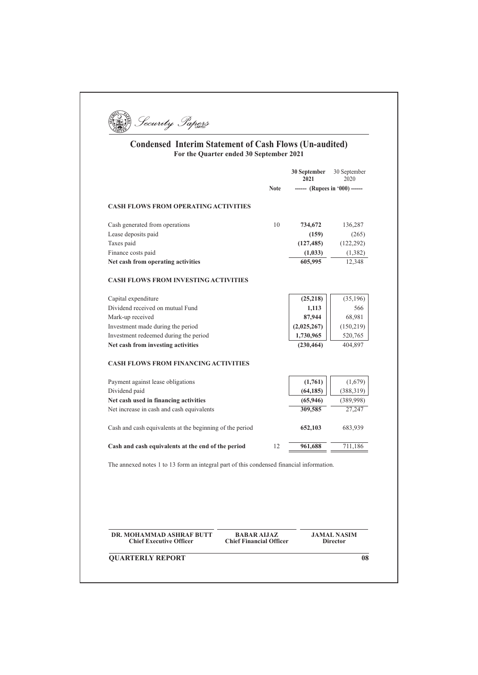

# Condensed Interim Statement of Cash Flows (Un-audited) For the Quarter ended 30 September 2021

|             | 30 September<br>2021                                     | 30 September<br>2020                                                                                                          |
|-------------|----------------------------------------------------------|-------------------------------------------------------------------------------------------------------------------------------|
| <b>Note</b> | ------ (Rupees in '000) ------                           |                                                                                                                               |
|             |                                                          |                                                                                                                               |
| 10          | 734,672                                                  | 136,287                                                                                                                       |
|             | (159)                                                    | (265)                                                                                                                         |
|             | (127, 485)                                               | (122, 292)                                                                                                                    |
|             | (1,033)                                                  | (1,382)                                                                                                                       |
|             | 605,995                                                  | 12,348                                                                                                                        |
|             |                                                          |                                                                                                                               |
|             | (25, 218)                                                | (35,196)                                                                                                                      |
|             | 1,113                                                    | 566                                                                                                                           |
|             | 87,944                                                   | 68,981                                                                                                                        |
|             | (2,025,267)                                              | (150, 219)                                                                                                                    |
|             | 1,730,965                                                | 520,765                                                                                                                       |
|             | (230, 464)                                               | 404,897                                                                                                                       |
|             | (1,761)                                                  | (1,679)                                                                                                                       |
|             |                                                          | (388, 319)                                                                                                                    |
|             |                                                          | (389,998)                                                                                                                     |
|             |                                                          | 27,247                                                                                                                        |
|             | 652,103                                                  | 683,939                                                                                                                       |
| 12          | 961,688                                                  | 711,186                                                                                                                       |
|             |                                                          |                                                                                                                               |
|             |                                                          |                                                                                                                               |
|             | Cash and cash equivalents at the beginning of the period | (64, 185)<br>(65, 946)<br>309,585<br>The annexed notes 1 to 13 form an integral part of this condensed financial information. |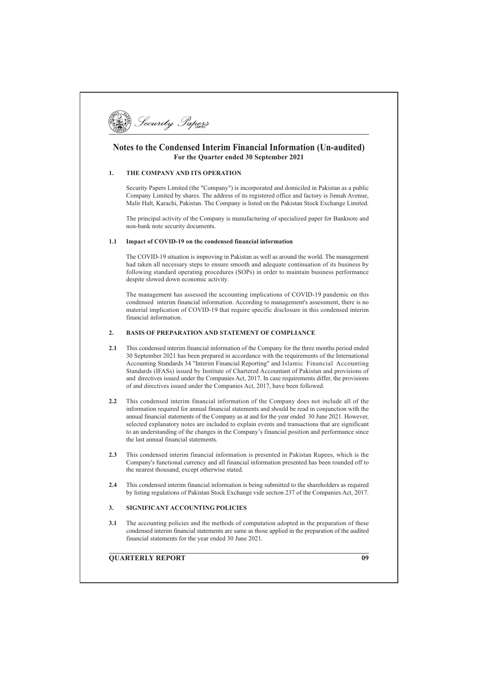

# Notes to the Condensed Interim Financial Information (Un-audited) For the Quarter ended 30 September 2021

#### THE COMPANY AND ITS OPERATION  $\mathbf{1}$ .

Security Papers Limited (the "Company") is incorporated and domiciled in Pakistan as a public Company Limited by shares. The address of its registered office and factory is Jinnah Avenue, Malir Halt, Karachi, Pakistan. The Company is listed on the Pakistan Stock Exchange Limited.

The principal activity of the Company is manufacturing of specialized paper for Banknote and non-bank note security documents.

#### Impact of COVID-19 on the condensed financial information  $1.1$

The COVID-19 situation is improving in Pakistan as well as around the world. The management had taken all necessary steps to ensure smooth and adequate continuation of its business by following standard operating procedures (SOPs) in order to maintain business performance despite slowed down economic activity.

The management has assessed the accounting implications of COVID-19 pandemic on this condensed interim financial information. According to management's assessment, there is no material implication of COVID-19 that require specific disclosure in this condensed interim financial information.

#### $\mathcal{L}$ **BASIS OF PREPARATION AND STATEMENT OF COMPLIANCE**

- $2.1$ This condensed interim financial information of the Company for the three months period ended 30 September 2021 has been prepared in accordance with the requirements of the International Accounting Standards 34 "Interim Financial Reporting" and Islamic Financial Accounting Standards (IFASs) issued by Institute of Chartered Accountant of Pakistan and provisions of and directives issued under the Companies Act, 2017. In case requirements differ, the provisions of and directives issued under the Companies Act, 2017, have been followed.
- $2.2$ This condensed interim financial information of the Company does not include all of the information required for annual financial statements and should be read in conjunction with the annual financial statements of the Company as at and for the year ended 30 June 2021. However, selected explanatory notes are included to explain events and transactions that are significant to an understanding of the changes in the Company's financial position and performance since the last annual financial statements.
- $2.3$ This condensed interim financial information is presented in Pakistan Rupees, which is the Company's functional currency and all financial information presented has been rounded off to the nearest thousand, except otherwise stated.
- $2.4$ This condensed interim financial information is being submitted to the shareholders as required by listing regulations of Pakistan Stock Exchange vide section 237 of the Companies Act, 2017.

#### $3.$ SIGNIFICANT ACCOUNTING POLICIES

The accounting policies and the methods of computation adopted in the preparation of these  $3.1$ condensed interim financial statements are same as those applied in the preparation of the audited financial statements for the year ended 30 June 2021.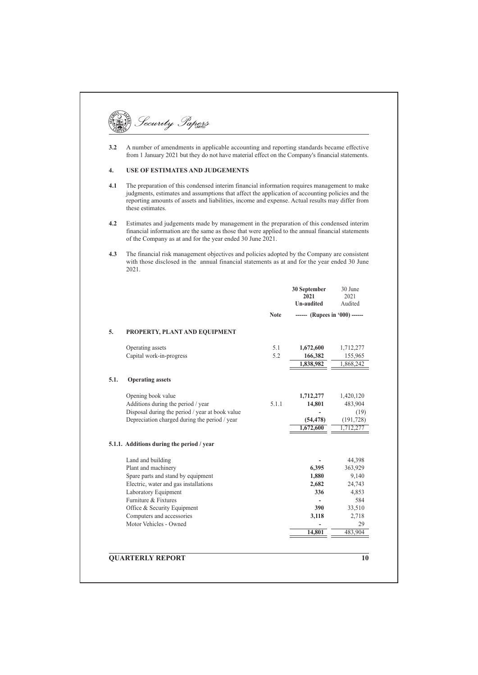Security Papers

A number of amendments in applicable accounting and reporting standards became effective  $3.2$ from 1 January 2021 but they do not have material effect on the Company's financial statements.

#### USE OF ESTIMATES AND JUDGEMENTS  $\overline{4}$ .

- $4.1$ The preparation of this condensed interim financial information requires management to make judgments, estimates and assumptions that affect the application of accounting policies and the reporting amounts of assets and liabilities, income and expense. Actual results may differ from these estimates.
- $4.2$ Estimates and judgements made by management in the preparation of this condensed interim financial information are the same as those that were applied to the annual financial statements of the Company as at and for the year ended 30 June 2021.
- The financial risk management objectives and policies adopted by the Company are consistent  $4.3$ with those disclosed in the annual financial statements as at and for the year ended 30 June 2021.

|      |                                                                                                                                                              |             | 30 September<br>2021<br><b>Un-audited</b> | 30 June<br>2021<br>Audited                 |
|------|--------------------------------------------------------------------------------------------------------------------------------------------------------------|-------------|-------------------------------------------|--------------------------------------------|
|      |                                                                                                                                                              | <b>Note</b> | ------ (Rupees in '000) ------            |                                            |
| 5.   | PROPERTY, PLANT AND EQUIPMENT                                                                                                                                |             |                                           |                                            |
|      | Operating assets                                                                                                                                             | 5.1         | 1,672,600                                 | 1,712,277                                  |
|      | Capital work-in-progress                                                                                                                                     | 5.2         | 166,382<br>1,838,982                      | 155,965<br>1,868,242                       |
|      |                                                                                                                                                              |             |                                           |                                            |
| 5.1. | <b>Operating assets</b>                                                                                                                                      |             |                                           |                                            |
|      | Opening book value<br>Additions during the period / year<br>Disposal during the period / year at book value<br>Depreciation charged during the period / year | 5.1.1       | 1,712,277<br>14,801                       | 1,420,120<br>483,904<br>(19)<br>(191, 728) |
|      |                                                                                                                                                              |             | (54, 478)<br>1,672,600                    | 1,712,277                                  |
|      | 5.1.1. Additions during the period / year                                                                                                                    |             |                                           |                                            |
|      | Land and building                                                                                                                                            |             |                                           | 44,398                                     |
|      | Plant and machinery                                                                                                                                          |             | 6,395                                     | 363,929                                    |
|      | Spare parts and stand by equipment                                                                                                                           |             | 1,880                                     | 9,140                                      |
|      | Electric, water and gas installations                                                                                                                        |             | 2,682                                     | 24,743                                     |
|      | Laboratory Equipment                                                                                                                                         |             | 336                                       | 4,853                                      |
|      | Furniture & Fixtures                                                                                                                                         |             |                                           | 584                                        |
|      | Office & Security Equipment                                                                                                                                  |             | 390                                       | 33,510                                     |
|      | Computers and accessories<br>Motor Vehicles - Owned                                                                                                          |             | 3,118                                     | 2,718                                      |
|      |                                                                                                                                                              |             | 14,801                                    | 29<br>483,904                              |
|      | <b>QUARTERLY REPORT</b>                                                                                                                                      |             |                                           | 10                                         |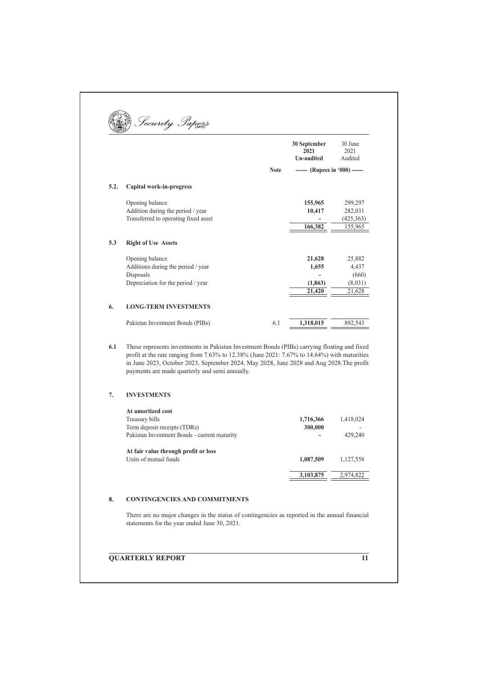|           |                                                                                                                                                                                                                                  |             | 30 September<br>2021<br>Un-audited | 30 June<br>2021<br>Audited |
|-----------|----------------------------------------------------------------------------------------------------------------------------------------------------------------------------------------------------------------------------------|-------------|------------------------------------|----------------------------|
|           |                                                                                                                                                                                                                                  | <b>Note</b> | ---- (Rupees in '000) ------       |                            |
| 5.2.      | Capital work-in-progress                                                                                                                                                                                                         |             |                                    |                            |
|           | Opening balance                                                                                                                                                                                                                  |             | 155,965                            | 299,297                    |
|           | Addition during the period / year                                                                                                                                                                                                |             | 10,417                             | 282,031                    |
|           | Transferred to operating fixed asset                                                                                                                                                                                             |             |                                    | (425,363)                  |
|           |                                                                                                                                                                                                                                  |             | 166,382                            | 155,965                    |
| 5.3       | <b>Right of Use Assets</b>                                                                                                                                                                                                       |             |                                    |                            |
|           | Opening balance                                                                                                                                                                                                                  |             | 21,628                             | 25,882                     |
|           | Additions during the period / year                                                                                                                                                                                               |             | 1,655                              | 4,437                      |
|           | Disposals                                                                                                                                                                                                                        |             |                                    | (660)                      |
|           | Depreciation for the period / year                                                                                                                                                                                               |             | (1, 863)<br>21,420                 | (8,031)                    |
|           |                                                                                                                                                                                                                                  |             |                                    | 21,628                     |
|           |                                                                                                                                                                                                                                  |             |                                    |                            |
|           | <b>LONG-TERM INVESTMENTS</b>                                                                                                                                                                                                     |             |                                    |                            |
| 6.<br>6.1 | Pakistan Investment Bonds (PIBs)<br>These represents investments in Pakistan Investment Bonds (PIBs) carrying floating and fixed<br>profit at the rate ranging from 7.63% to 12.38% (June 2021: 7.67% to 14.64%) with maturities | 6.1         | 1,318,015                          | 892,543                    |
|           | in June 2023, October 2023, September 2024, May 2028, June 2028 and Aug 2028. The profit<br>payments are made quarterly and semi annually.                                                                                       |             |                                    |                            |
| 7.        | <b>INVESTMENTS</b>                                                                                                                                                                                                               |             |                                    |                            |
|           | At amortized cost                                                                                                                                                                                                                |             |                                    |                            |
|           | Treasury bills                                                                                                                                                                                                                   |             | 1,716,366                          | 1,418,024                  |
|           | Term deposit receipts (TDRs)                                                                                                                                                                                                     |             | 300,000                            |                            |
|           | Pakistan Investment Bonds - current maturity                                                                                                                                                                                     |             |                                    | 429,240                    |
|           | At fair value through profit or loss                                                                                                                                                                                             |             |                                    |                            |
|           | Units of mutual funds                                                                                                                                                                                                            |             | 1,087,509                          | 1,127,558                  |
|           |                                                                                                                                                                                                                                  |             | 3,103,875                          | 2,974,822                  |
|           |                                                                                                                                                                                                                                  |             |                                    |                            |
| 8.        | <b>CONTINGENCIES AND COMMITMENTS</b>                                                                                                                                                                                             |             |                                    |                            |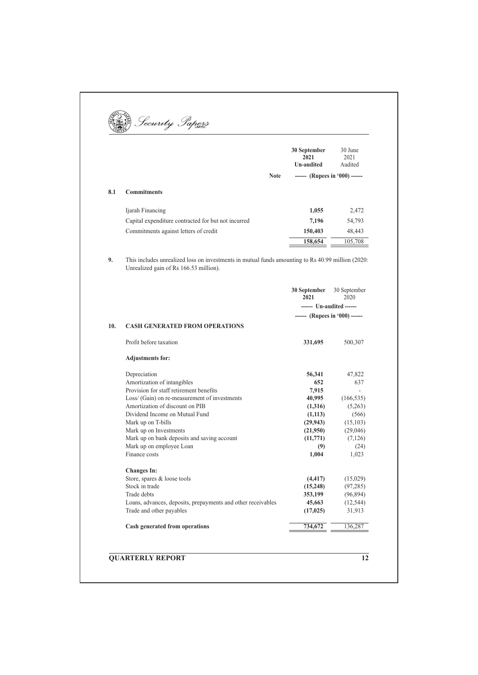|     | Security Sapers                                     |             |                                           |                            |
|-----|-----------------------------------------------------|-------------|-------------------------------------------|----------------------------|
|     |                                                     |             | 30 September<br>2021<br><b>Un-audited</b> | 30 June<br>2021<br>Audited |
|     |                                                     | <b>Note</b> | ------ (Rupees in $(000)$ ------          |                            |
| 8.1 | <b>Commitments</b>                                  |             |                                           |                            |
|     | Ijarah Financing                                    |             | 1,055                                     | 2,472                      |
|     | Capital expenditure contracted for but not incurred |             | 7,196                                     | 54,793                     |
|     | Commitments against letters of credit               |             | 150,403                                   | 48,443                     |
|     |                                                     |             | 158,654                                   | 105,708                    |

 $9.$ This includes unrealized loss on investments in mutual funds amounting to Rs 40.99 million (2020: Unrealized gain of Rs 166.53 million).

|                                                              | 30 September<br>2021           | 30 September<br>2020 |
|--------------------------------------------------------------|--------------------------------|----------------------|
|                                                              | ------ Un-audited ------       |                      |
|                                                              | ------ (Rupees in '000) ------ |                      |
| <b>CASH GENERATED FROM OPERATIONS</b>                        |                                |                      |
| Profit before taxation                                       | 331,695                        | 500,307              |
| <b>Adjustments for:</b>                                      |                                |                      |
| Depreciation                                                 | 56,341                         | 47,822               |
| Amortization of intangibles                                  | 652                            | 637                  |
| Provision for staff retirement benefits                      | 7,915                          |                      |
| Loss/ (Gain) on re-measurement of investments                | 40,995                         | (166, 535)           |
| Amortization of discount on PIB                              | (1,316)                        | (5,263)              |
| Dividend Income on Mutual Fund                               | (1,113)                        | (566)                |
| Mark up on T-bills                                           | (29, 943)                      | (15, 103)            |
| Mark up on Investments                                       | (21,950)                       | (29,046)             |
| Mark up on bank deposits and saving account                  | (11,771)                       | (7, 126)             |
| Mark up on employee Loan                                     | (9)                            | (24)                 |
| Finance costs                                                | 1,004                          | 1,023                |
| <b>Changes In:</b>                                           |                                |                      |
| Store, spares & loose tools                                  | (4, 417)                       | (15,029)             |
| Stock in trade                                               | (15,248)                       | (97, 285)            |
| Trade debts                                                  | 353,199                        | (96, 894)            |
| Loans, advances, deposits, prepayments and other receivables | 45,663                         | (12, 544)            |
| Trade and other payables                                     | (17, 025)                      | 31,913               |
| Cash generated from operations                               | 734,672                        | 136,287              |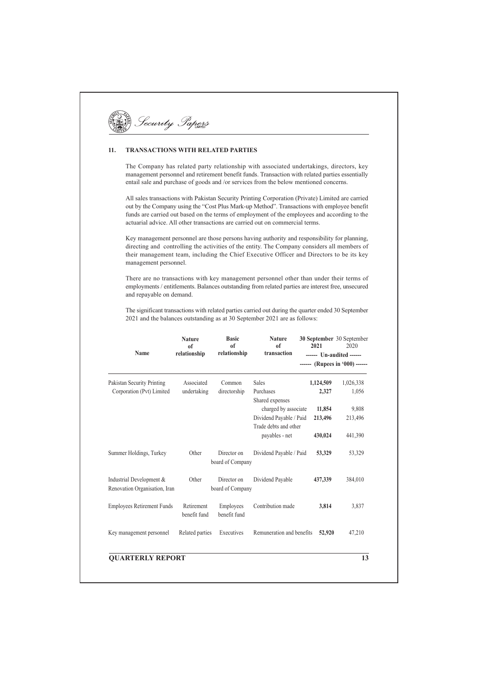

#### $11.$ TRANSACTIONS WITH RELATED PARTIES

The Company has related party relationship with associated undertakings, directors, key management personnel and retirement benefit funds. Transaction with related parties essentially entail sale and purchase of goods and /or services from the below mentioned concerns.

All sales transactions with Pakistan Security Printing Corporation (Private) Limited are carried out by the Company using the "Cost Plus Mark-up Method". Transactions with employee benefit funds are carried out based on the terms of employment of the employees and according to the actuarial advice. All other transactions are carried out on commercial terms.

Key management personnel are those persons having authority and responsibility for planning, directing and controlling the activities of the entity. The Company considers all members of their management team, including the Chief Executive Officer and Directors to be its key management personnel.

There are no transactions with key management personnel other than under their terms of employments / entitlements. Balances outstanding from related parties are interest free, unsecured and repayable on demand.

The significant transactions with related parties carried out during the quarter ended 30 September 2021 and the balances outstanding as at 30 September 2021 are as follows:

| Name                                                      | <b>Nature</b><br><sub>of</sub><br>relationship | <b>Basic</b><br><sub>of</sub><br>relationship | <b>Nature</b><br>of<br>transaction               | 2021<br>------ Un-audited ------ | 30 September 30 September<br>2020 |
|-----------------------------------------------------------|------------------------------------------------|-----------------------------------------------|--------------------------------------------------|----------------------------------|-----------------------------------|
|                                                           |                                                |                                               |                                                  | $--- (Rupees in '000)$ $---$     |                                   |
| Pakistan Security Printing                                | Associated                                     | Common                                        | Sales                                            | 1,124,509                        | 1,026,338                         |
| Corporation (Pvt) Limited                                 | undertaking                                    | directorship                                  | Purchases<br>Shared expenses                     | 2,327                            | 1,056                             |
|                                                           |                                                |                                               | charged by associate                             | 11,854                           | 9,808                             |
|                                                           |                                                |                                               | Dividend Payable / Paid<br>Trade debts and other | 213,496                          | 213,496                           |
|                                                           |                                                |                                               | payables - net                                   | 430,024                          | 441,390                           |
| Summer Holdings, Turkey                                   | Other                                          | Director on<br>board of Company               | Dividend Payable / Paid                          | 53,329                           | 53,329                            |
| Industrial Development &<br>Renovation Organisation, Iran | Other                                          | Director on<br>board of Company               | Dividend Payable                                 | 437,339                          | 384,010                           |
| <b>Employees Retirement Funds</b>                         | Retirement<br>benefit fund                     | Employees<br>benefit fund                     | Contribution made                                | 3,814                            | 3,837                             |
| Key management personnel                                  | Related parties                                | Executives                                    | Remuneration and benefits                        | 52,920                           | 47,210                            |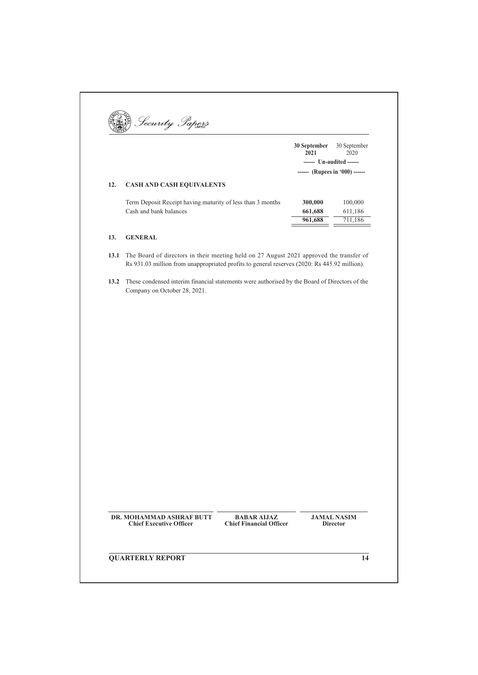|      |                                                                                                                                                                                         | 30 September<br>2021                                       | 30 September<br>2020                  |  |
|------|-----------------------------------------------------------------------------------------------------------------------------------------------------------------------------------------|------------------------------------------------------------|---------------------------------------|--|
|      |                                                                                                                                                                                         | ------ Un-audited ------<br>------ (Rupees in '000) ------ |                                       |  |
|      |                                                                                                                                                                                         |                                                            |                                       |  |
| 12.  | CASH AND CASH EQUIVALENTS                                                                                                                                                               |                                                            |                                       |  |
|      | Term Deposit Receipt having maturity of less than 3 months                                                                                                                              | 300,000                                                    | 100,000                               |  |
|      | Cash and bank balances                                                                                                                                                                  | 661,688                                                    | 611,186                               |  |
|      |                                                                                                                                                                                         | 961,688                                                    | 711,186                               |  |
| 13.  | <b>GENERAL</b>                                                                                                                                                                          |                                                            |                                       |  |
| 13.1 | The Board of directors in their meeting held on 27 August 2021 approved the transfer of<br>Rs 931.03 million from unappropriated profits to general reserves (2020: Rs 445.92 million). |                                                            |                                       |  |
| 13.2 | These condensed interim financial statements were authorised by the Board of Directors of the<br>Company on October 28, 2021.                                                           |                                                            |                                       |  |
|      |                                                                                                                                                                                         |                                                            |                                       |  |
|      |                                                                                                                                                                                         |                                                            |                                       |  |
|      |                                                                                                                                                                                         |                                                            |                                       |  |
|      |                                                                                                                                                                                         |                                                            |                                       |  |
|      |                                                                                                                                                                                         |                                                            |                                       |  |
|      |                                                                                                                                                                                         |                                                            |                                       |  |
|      |                                                                                                                                                                                         |                                                            |                                       |  |
|      |                                                                                                                                                                                         |                                                            |                                       |  |
|      |                                                                                                                                                                                         |                                                            |                                       |  |
|      |                                                                                                                                                                                         |                                                            |                                       |  |
|      |                                                                                                                                                                                         |                                                            |                                       |  |
|      |                                                                                                                                                                                         |                                                            |                                       |  |
|      |                                                                                                                                                                                         |                                                            |                                       |  |
|      |                                                                                                                                                                                         |                                                            |                                       |  |
|      |                                                                                                                                                                                         |                                                            |                                       |  |
|      |                                                                                                                                                                                         |                                                            |                                       |  |
|      |                                                                                                                                                                                         |                                                            |                                       |  |
|      |                                                                                                                                                                                         |                                                            |                                       |  |
|      |                                                                                                                                                                                         |                                                            |                                       |  |
|      |                                                                                                                                                                                         |                                                            |                                       |  |
|      |                                                                                                                                                                                         |                                                            |                                       |  |
|      | <b>DR. MOHAMMAD ASHRAF BUTT</b><br><b>BABAR AIJAZ</b><br><b>Chief Executive Officer</b><br><b>Chief Financial Officer</b>                                                               |                                                            | <b>JAMAL NASIM</b><br><b>Director</b> |  |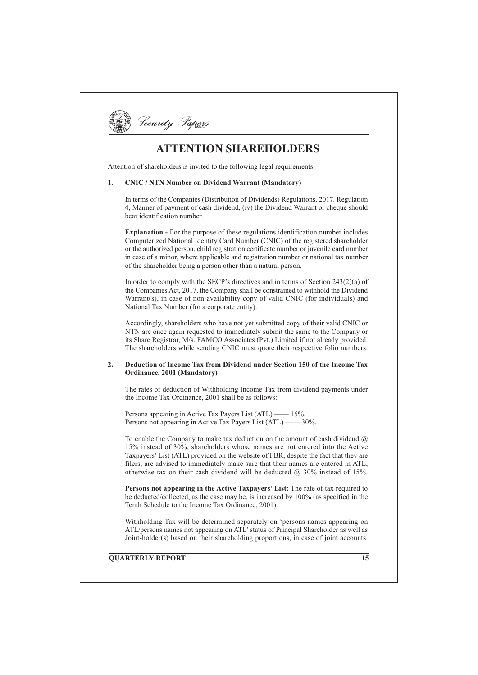

# **ATTENTION SHAREHOLDERS**

Attention of shareholders is invited to the following legal requirements:

#### $\mathbf{1}$ **CNIC / NTN Number on Dividend Warrant (Mandatory)**

In terms of the Companies (Distribution of Dividends) Regulations, 2017. Regulation 4, Manner of payment of cash dividend, (iv) the Dividend Warrant or cheque should bear identification number.

Explanation - For the purpose of these regulations identification number includes Computerized National Identity Card Number (CNIC) of the registered shareholder or the authorized person, child registration certificate number or juvenile card number in case of a minor, where applicable and registration number or national tax number of the shareholder being a person other than a natural person.

In order to comply with the SECP's directives and in terms of Section  $243(2)(a)$  of the Companies Act, 2017, the Company shall be constrained to withhold the Dividend Warrant(s), in case of non-availability copy of valid CNIC (for individuals) and National Tax Number (for a corporate entity).

Accordingly, shareholders who have not yet submitted copy of their valid CNIC or NTN are once again requested to immediately submit the same to the Company or its Share Registrar, M/s. FAMCO Associates (Pvt.) Limited if not already provided. The shareholders while sending CNIC must quote their respective folio numbers.

#### $2.$ Deduction of Income Tax from Dividend under Section 150 of the Income Tax Ordinance, 2001 (Mandatory)

The rates of deduction of Withholding Income Tax from dividend payments under the Income Tax Ordinance, 2001 shall be as follows:

Persons appearing in Active Tax Payers List (ATL) —  $-15%$ Persons not appearing in Active Tax Payers List (ATL) — 30%.

To enable the Company to make tax deduction on the amount of cash dividend  $(a)$ 15% instead of 30%, shareholders whose names are not entered into the Active Taxpayers' List (ATL) provided on the website of FBR, despite the fact that they are filers, are advised to immediately make sure that their names are entered in ATL, otherwise tax on their cash dividend will be deducted  $\omega$  30% instead of 15%.

Persons not appearing in the Active Taxpayers' List: The rate of tax required to be deducted/collected, as the case may be, is increased by 100% (as specified in the Tenth Schedule to the Income Tax Ordinance, 2001).

Withholding Tax will be determined separately on 'persons names appearing on ATL/persons names not appearing on ATL' status of Principal Shareholder as well as Joint-holder(s) based on their shareholding proportions, in case of joint accounts.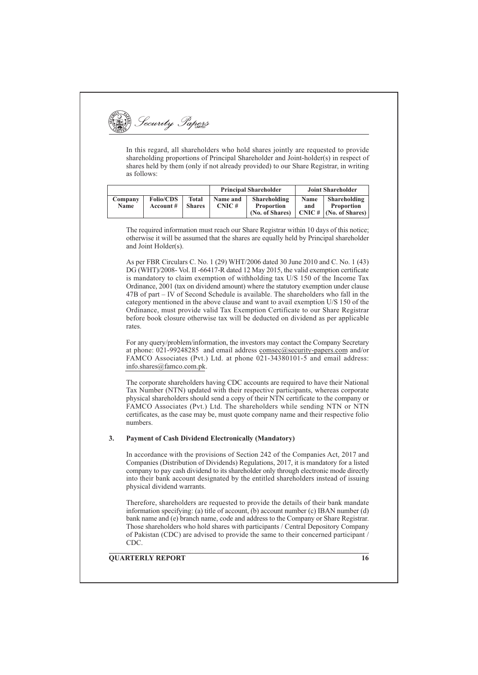Security Papers

In this regard, all shareholders who hold shares jointly are requested to provide shareholding proportions of Principal Shareholder and Joint-holder(s) in respect of shares held by them (only if not already provided) to our Share Registrar, in writing as follows:

|                 |                               |                        | <b>Principal Shareholder</b> |                                               | <b>Joint Shareholder</b> |                                                                  |
|-----------------|-------------------------------|------------------------|------------------------------|-----------------------------------------------|--------------------------|------------------------------------------------------------------|
| Company<br>Name | <b>Folio/CDS</b><br>Account # | Total<br><b>Shares</b> | Name and<br>CNIC#            | Shareholding<br>Proportion<br>(No. of Shares) | Name<br>and              | Shareholding<br><b>Proportion</b><br>$CNIC \#   (No. of Shares)$ |

The required information must reach our Share Registrar within 10 days of this notice; otherwise it will be assumed that the shares are equally held by Principal shareholder and Joint Holder(s).

As per FBR Circulars C. No. 1 (29) WHT/2006 dated 30 June 2010 and C. No. 1 (43) DG (WHT)/2008- Vol. II -66417-R dated 12 May 2015, the valid exemption certificate is mandatory to claim exemption of withholding tax U/S 150 of the Income Tax Ordinance, 2001 (tax on dividend amount) where the statutory exemption under clause 47B of part – IV of Second Schedule is available. The shareholders who fall in the category mentioned in the above clause and want to avail exemption U/S 150 of the Ordinance, must provide valid Tax Exemption Certificate to our Share Registrar before book closure otherwise tax will be deducted on dividend as per applicable rates.

For any query/problem/information, the investors may contact the Company Secretary at phone: 021-99248285 and email address comsec@security-papers.com and/or FAMCO Associates (Pvt.) Ltd. at phone 021-34380101-5 and email address: info.shares@famco.com.pk.

The corporate shareholders having CDC accounts are required to have their National Tax Number (NTN) updated with their respective participants, whereas corporate physical shareholders should send a copy of their NTN certificate to the company or FAMCO Associates (Pvt.) Ltd. The shareholders while sending NTN or NTN certificates, as the case may be, must quote company name and their respective folio numbers.

#### **Payment of Cash Dividend Electronically (Mandatory)** 3.

In accordance with the provisions of Section 242 of the Companies Act, 2017 and Companies (Distribution of Dividends) Regulations, 2017, it is mandatory for a listed company to pay cash dividend to its shareholder only through electronic mode directly into their bank account designated by the entitled shareholders instead of issuing physical dividend warrants.

Therefore, shareholders are requested to provide the details of their bank mandate information specifying: (a) title of account, (b) account number (c) IBAN number (d) bank name and (e) branch name, code and address to the Company or Share Registrar. Those shareholders who hold shares with participants / Central Depository Company of Pakistan (CDC) are advised to provide the same to their concerned participant / CDC.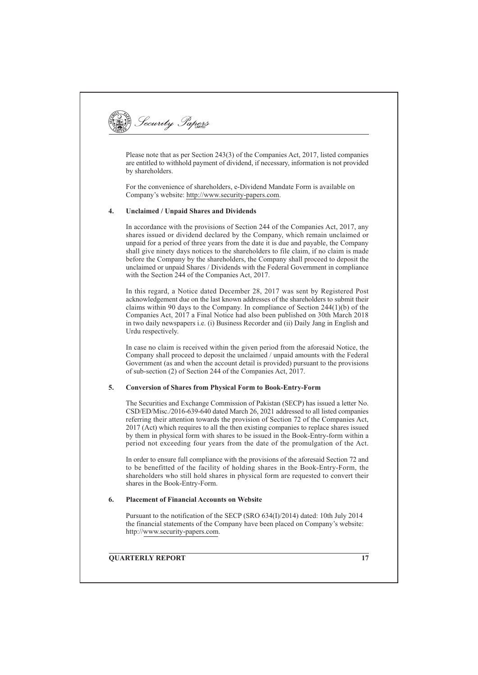

Please note that as per Section 243(3) of the Companies Act, 2017, listed companies are entitled to withhold payment of dividend, if necessary, information is not provided by shareholders.

For the convenience of shareholders, e-Dividend Mandate Form is available on Company's website: http://www.security-papers.com.

#### $4.$ **Unclaimed / Unpaid Shares and Dividends**

In accordance with the provisions of Section 244 of the Companies Act, 2017, any shares issued or dividend declared by the Company, which remain unclaimed or unpaid for a period of three years from the date it is due and payable, the Company shall give ninety days notices to the shareholders to file claim, if no claim is made before the Company by the shareholders, the Company shall proceed to deposit the unclaimed or unpaid Shares / Dividends with the Federal Government in compliance with the Section 244 of the Companies Act, 2017.

In this regard, a Notice dated December 28, 2017 was sent by Registered Post acknowledgement due on the last known addresses of the shareholders to submit their claims within 90 days to the Company. In compliance of Section  $244(1)(b)$  of the Companies Act, 2017 a Final Notice had also been published on 30th March 2018 in two daily newspapers i.e. (i) Business Recorder and (ii) Daily Jang in English and Urdu respectively.

In case no claim is received within the given period from the aforesaid Notice, the Company shall proceed to deposit the unclaimed / unpaid amounts with the Federal Government (as and when the account detail is provided) pursuant to the provisions of sub-section (2) of Section 244 of the Companies Act, 2017.

#### **Conversion of Shares from Physical Form to Book-Entry-Form**  $\overline{5}$ .

The Securities and Exchange Commission of Pakistan (SECP) has issued a letter No. CSD/ED/Misc./2016-639-640 dated March 26, 2021 addressed to all listed companies referring their attention towards the provision of Section 72 of the Companies Act, 2017 (Act) which requires to all the then existing companies to replace shares issued by them in physical form with shares to be issued in the Book-Entry-form within a period not exceeding four years from the date of the promulgation of the Act.

In order to ensure full compliance with the provisions of the aforesaid Section 72 and to be benefitted of the facility of holding shares in the Book-Entry-Form, the shareholders who still hold shares in physical form are requested to convert their shares in the Book-Entry-Form.

#### **Placement of Financial Accounts on Website** 6.

Pursuant to the notification of the SECP (SRO 634(I)/2014) dated: 10th July 2014 the financial statements of the Company have been placed on Company's website: http://www.security-papers.com.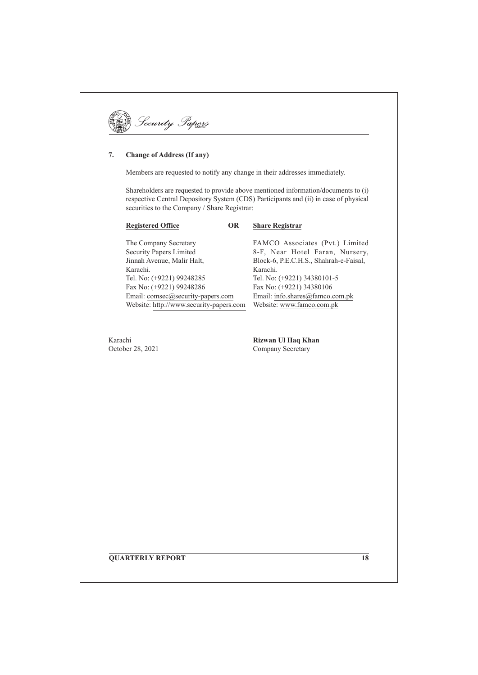| wuw<br>MTED |  |
|-------------|--|
|-------------|--|

#### **Change of Address (If any)** 7.

Members are requested to notify any change in their addresses immediately.

Shareholders are requested to provide above mentioned information/documents to (i) respective Central Depository System (CDS) Participants and (ii) in case of physical securities to the Company / Share Registrar:

## **Registered Office**

#### **OR Share Registrar**

The Company Secretary **Security Papers Limited** Jinnah Avenue, Malir Halt, Karachi. Tel. No: (+9221) 99248285 Fax No: (+9221) 99248286 Email: comsec@security-papers.com Website: http://www.security-papers.com

Karachi October 28, 2021 FAMCO Associates (Pvt.) Limited 8-F, Near Hotel Faran, Nursery, Block-6, P.E.C.H.S., Shahrah-e-Faisal, Karachi. Tel. No: (+9221) 34380101-5 Fax No: (+9221) 34380106 Email: info.shares@famco.com.pk Website: www.famco.com.pk

Rizwan Ul Haq Khan Company Secretary

**QUARTERLY REPORT** 

 $\overline{18}$